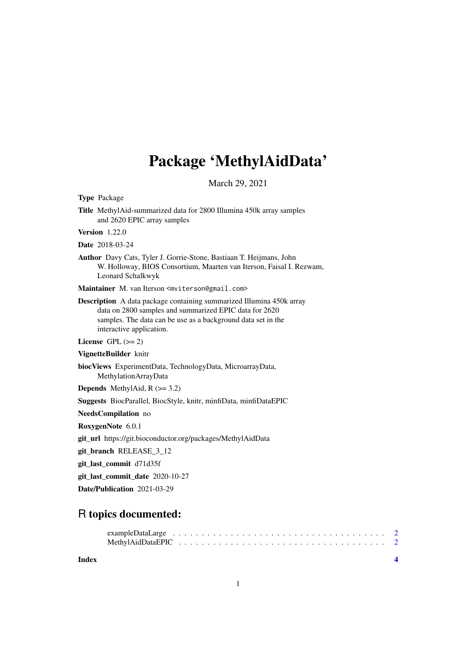# Package 'MethylAidData'

March 29, 2021

Type Package

Title MethylAid-summarized data for 2800 Illumina 450k array samples and 2620 EPIC array samples

Version 1.22.0

Date 2018-03-24

Author Davy Cats, Tyler J. Gorrie-Stone, Bastiaan T. Heijmans, John W. Holloway, BIOS Consortium, Maarten van Iterson, Faisal I. Rezwam, Leonard Schalkwyk

Maintainer M. van Iterson <mviterson@gmail.com>

Description A data package containing summarized Illumina 450k array data on 2800 samples and summarized EPIC data for 2620 samples. The data can be use as a background data set in the interactive application.

License GPL  $(>= 2)$ 

VignetteBuilder knitr

biocViews ExperimentData, TechnologyData, MicroarrayData, MethylationArrayData

**Depends** MethylAid,  $R$  ( $>= 3.2$ )

Suggests BiocParallel, BiocStyle, knitr, minfiData, minfiDataEPIC

NeedsCompilation no

RoxygenNote 6.0.1

git\_url https://git.bioconductor.org/packages/MethylAidData

git\_branch RELEASE\_3\_12

git\_last\_commit d71d35f

git\_last\_commit\_date 2020-10-27

Date/Publication 2021-03-29

# R topics documented:

#### **Index** [4](#page-3-0)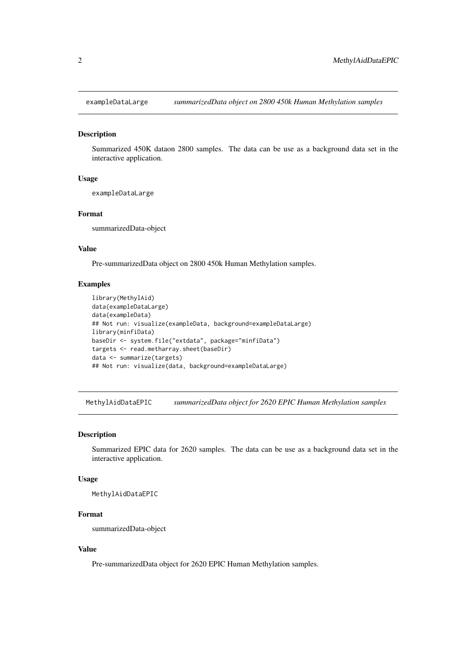<span id="page-1-0"></span>

#### Description

Summarized 450K dataon 2800 samples. The data can be use as a background data set in the interactive application.

#### Usage

exampleDataLarge

#### Format

summarizedData-object

# Value

Pre-summarizedData object on 2800 450k Human Methylation samples.

## Examples

```
library(MethylAid)
data(exampleDataLarge)
data(exampleData)
## Not run: visualize(exampleData, background=exampleDataLarge)
library(minfiData)
baseDir <- system.file("extdata", package="minfiData")
targets <- read.metharray.sheet(baseDir)
data <- summarize(targets)
## Not run: visualize(data, background=exampleDataLarge)
```
MethylAidDataEPIC *summarizedData object for 2620 EPIC Human Methylation samples*

#### Description

Summarized EPIC data for 2620 samples. The data can be use as a background data set in the interactive application.

# Usage

MethylAidDataEPIC

#### Format

summarizedData-object

## Value

Pre-summarizedData object for 2620 EPIC Human Methylation samples.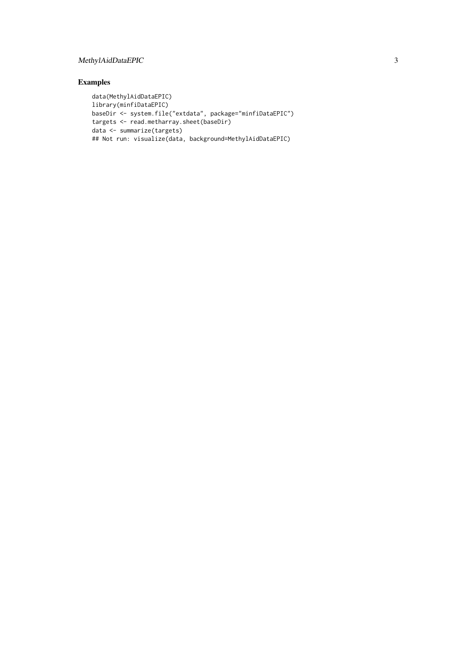# MethylAidDataEPIC 3

# Examples

```
data(MethylAidDataEPIC)
library(minfiDataEPIC)
baseDir <- system.file("extdata", package="minfiDataEPIC")
targets <- read.metharray.sheet(baseDir)
data <- summarize(targets)
## Not run: visualize(data, background=MethylAidDataEPIC)
```